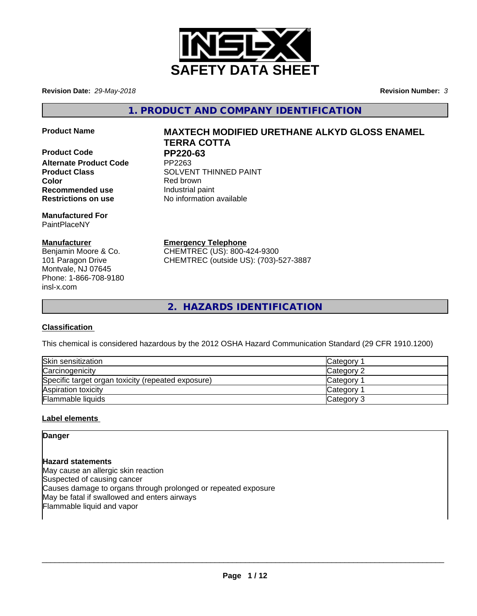

**Revision Date:** *29-May-2018* **Revision Number:** *3*

**1. PRODUCT AND COMPANY IDENTIFICATION**

- 
- **Product Code PP220-63**<br>Alternate Product Code PP2263 **Alternate Product Code Color** Red brown **Recommended use Industrial paint Restrictions on use** No information available

**Manufactured For** PaintPlaceNY

# **Manufacturer**

Benjamin Moore & Co. 101 Paragon Drive Montvale, NJ 07645 Phone: 1-866-708-9180 insl-x.com

# **Product Name MAXTECH MODIFIED URETHANE ALKYD GLOSS ENAMEL TERRA COTTA**

**Product Class SOLVENT THINNED PAINT** 

**Emergency Telephone**

CHEMTREC (US): 800-424-9300 CHEMTREC (outside US): (703)-527-3887

**2. HAZARDS IDENTIFICATION**

# **Classification**

This chemical is considered hazardous by the 2012 OSHA Hazard Communication Standard (29 CFR 1910.1200)

| Skin sensitization                                 | Category        |
|----------------------------------------------------|-----------------|
| Carcinogenicity                                    | Category 2      |
| Specific target organ toxicity (repeated exposure) | <b>Category</b> |
| Aspiration toxicity                                | <b>Category</b> |
| Flammable liquids                                  | Category 3      |

# **Label elements**

**Danger**

**Hazard statements** May cause an allergic skin reaction Suspected of causing cancer Causes damage to organs through prolonged or repeated exposure May be fatal if swallowed and enters airways Flammable liquid and vapor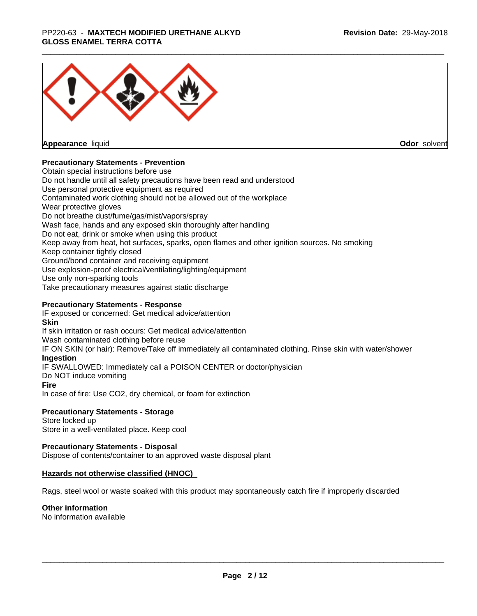## \_\_\_\_\_\_\_\_\_\_\_\_\_\_\_\_\_\_\_\_\_\_\_\_\_\_\_\_\_\_\_\_\_\_\_\_\_\_\_\_\_\_\_\_\_\_\_\_\_\_\_\_\_\_\_\_\_\_\_\_\_\_\_\_\_\_\_\_\_\_\_\_\_\_\_\_\_\_\_\_\_\_\_\_\_\_\_\_\_\_\_\_\_ PP220-63 - **MAXTECH MODIFIED URETHANE ALKYD GLOSS ENAMEL TERRA COTTA**



**Appearance** liquid

**Odor** solvent

# **Precautionary Statements - Prevention**

Obtain special instructions before use Do not handle until all safety precautions have been read and understood Use personal protective equipment as required Contaminated work clothing should not be allowed out of the workplace Wear protective gloves Do not breathe dust/fume/gas/mist/vapors/spray Wash face, hands and any exposed skin thoroughly after handling Do not eat, drink or smoke when using this product Keep away from heat, hot surfaces, sparks, open flames and other ignition sources. No smoking Keep container tightly closed Ground/bond container and receiving equipment Use explosion-proof electrical/ventilating/lighting/equipment Use only non-sparking tools Take precautionary measures against static discharge

# **Precautionary Statements - Response**

IF exposed or concerned: Get medical advice/attention **Skin** If skin irritation or rash occurs: Get medical advice/attention Wash contaminated clothing before reuse IF ON SKIN (or hair): Remove/Take off immediately all contaminated clothing. Rinse skin with water/shower **Ingestion** IF SWALLOWED: Immediately call a POISON CENTER or doctor/physician Do NOT induce vomiting **Fire** In case of fire: Use CO2, dry chemical, or foam for extinction

# **Precautionary Statements - Storage**

Store locked up Store in a well-ventilated place. Keep cool

# **Precautionary Statements - Disposal**

Dispose of contents/container to an approved waste disposal plant

# **Hazards not otherwise classified (HNOC)**

Rags, steel wool or waste soaked with this product may spontaneously catch fire if improperly discarded

#### **Other information**

No information available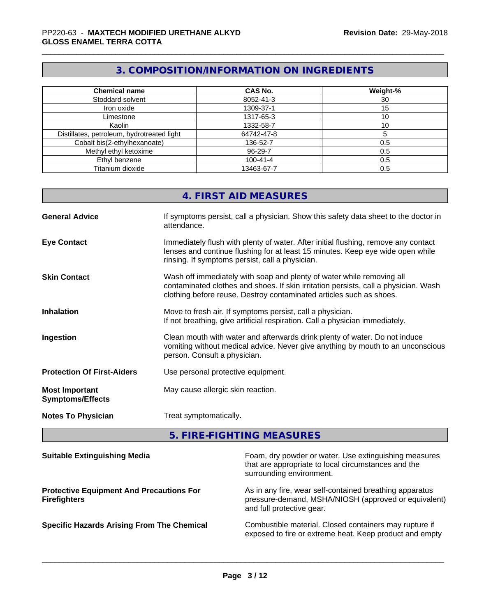# **3. COMPOSITION/INFORMATION ON INGREDIENTS**

| <b>Chemical name</b>                       | <b>CAS No.</b> | Weight-% |
|--------------------------------------------|----------------|----------|
| Stoddard solvent                           | 8052-41-3      | 30       |
| Iron oxide                                 | 1309-37-1      | 15       |
| Limestone                                  | 1317-65-3      | 10       |
| Kaolin                                     | 1332-58-7      | 10       |
| Distillates, petroleum, hydrotreated light | 64742-47-8     |          |
| Cobalt bis(2-ethylhexanoate)               | 136-52-7       | 0.5      |
| Methyl ethyl ketoxime                      | 96-29-7        | 0.5      |
| Ethyl benzene                              | $100 - 41 - 4$ | 0.5      |
| Titanium dioxide                           | 13463-67-7     | 0.5      |

|                                                  | 4. FIRST AID MEASURES                                                                                                                                                                                                               |
|--------------------------------------------------|-------------------------------------------------------------------------------------------------------------------------------------------------------------------------------------------------------------------------------------|
| <b>General Advice</b>                            | If symptoms persist, call a physician. Show this safety data sheet to the doctor in<br>attendance.                                                                                                                                  |
| <b>Eye Contact</b>                               | Immediately flush with plenty of water. After initial flushing, remove any contact<br>lenses and continue flushing for at least 15 minutes. Keep eye wide open while<br>rinsing. If symptoms persist, call a physician.             |
| <b>Skin Contact</b>                              | Wash off immediately with soap and plenty of water while removing all<br>contaminated clothes and shoes. If skin irritation persists, call a physician. Wash<br>clothing before reuse. Destroy contaminated articles such as shoes. |
| <b>Inhalation</b>                                | Move to fresh air. If symptoms persist, call a physician.<br>If not breathing, give artificial respiration. Call a physician immediately.                                                                                           |
| Ingestion                                        | Clean mouth with water and afterwards drink plenty of water. Do not induce<br>vomiting without medical advice. Never give anything by mouth to an unconscious<br>person. Consult a physician.                                       |
| <b>Protection Of First-Aiders</b>                | Use personal protective equipment.                                                                                                                                                                                                  |
| <b>Most Important</b><br><b>Symptoms/Effects</b> | May cause allergic skin reaction.                                                                                                                                                                                                   |
| <b>Notes To Physician</b>                        | Treat symptomatically.                                                                                                                                                                                                              |
|                                                  |                                                                                                                                                                                                                                     |

# **5. FIRE-FIGHTING MEASURES**

| <b>Suitable Extinguishing Media</b>                                    | Foam, dry powder or water. Use extinguishing measures<br>that are appropriate to local circumstances and the<br>surrounding environment.     |
|------------------------------------------------------------------------|----------------------------------------------------------------------------------------------------------------------------------------------|
| <b>Protective Equipment And Precautions For</b><br><b>Firefighters</b> | As in any fire, wear self-contained breathing apparatus<br>pressure-demand, MSHA/NIOSH (approved or equivalent)<br>and full protective gear. |
| <b>Specific Hazards Arising From The Chemical</b>                      | Combustible material. Closed containers may rupture if<br>exposed to fire or extreme heat. Keep product and empty                            |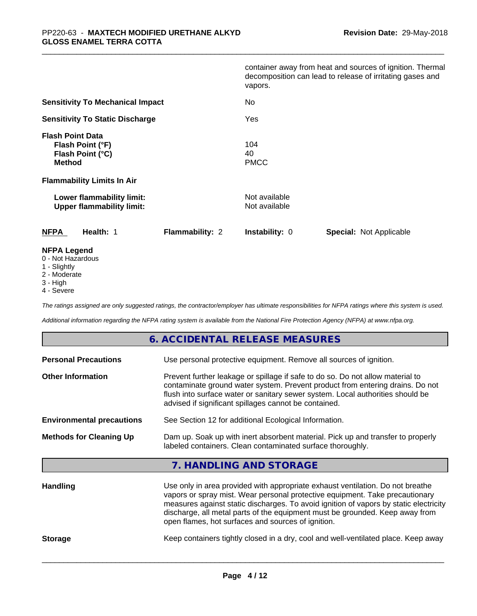|                                                                                  | container away from heat and sources of ignition. Thermal<br>decomposition can lead to release of irritating gases and<br>vapors. |
|----------------------------------------------------------------------------------|-----------------------------------------------------------------------------------------------------------------------------------|
| <b>Sensitivity To Mechanical Impact</b>                                          | No                                                                                                                                |
| <b>Sensitivity To Static Discharge</b>                                           | Yes                                                                                                                               |
| <b>Flash Point Data</b><br>Flash Point (°F)<br>Flash Point (°C)<br><b>Method</b> | 104<br>40<br><b>PMCC</b>                                                                                                          |
| <b>Flammability Limits In Air</b>                                                |                                                                                                                                   |
| Lower flammability limit:<br><b>Upper flammability limit:</b>                    | Not available<br>Not available                                                                                                    |
| <b>NFPA</b><br>Health: 1<br><b>Flammability: 2</b>                               | <b>Instability: 0</b><br><b>Special: Not Applicable</b>                                                                           |
| <b>NFPA Legend</b><br>0 - Not Hazardous                                          |                                                                                                                                   |

- 1 Slightly
- 2 Moderate
- 3 High
- 4 Severe

*The ratings assigned are only suggested ratings, the contractor/employer has ultimate responsibilities for NFPA ratings where this system is used.*

*Additional information regarding the NFPA rating system is available from the National Fire Protection Agency (NFPA) at www.nfpa.org.*

# **6. ACCIDENTAL RELEASE MEASURES**

| <b>Personal Precautions</b>      | Use personal protective equipment. Remove all sources of ignition.                                                                                                                                                                                                                                                                                                                            |
|----------------------------------|-----------------------------------------------------------------------------------------------------------------------------------------------------------------------------------------------------------------------------------------------------------------------------------------------------------------------------------------------------------------------------------------------|
| <b>Other Information</b>         | Prevent further leakage or spillage if safe to do so. Do not allow material to<br>contaminate ground water system. Prevent product from entering drains. Do not<br>flush into surface water or sanitary sewer system. Local authorities should be<br>advised if significant spillages cannot be contained.                                                                                    |
| <b>Environmental precautions</b> | See Section 12 for additional Ecological Information.                                                                                                                                                                                                                                                                                                                                         |
| <b>Methods for Cleaning Up</b>   | Dam up. Soak up with inert absorbent material. Pick up and transfer to properly<br>labeled containers. Clean contaminated surface thoroughly.                                                                                                                                                                                                                                                 |
|                                  | 7. HANDLING AND STORAGE                                                                                                                                                                                                                                                                                                                                                                       |
| <b>Handling</b>                  | Use only in area provided with appropriate exhaust ventilation. Do not breathe<br>vapors or spray mist. Wear personal protective equipment. Take precautionary<br>measures against static discharges. To avoid ignition of vapors by static electricity<br>discharge, all metal parts of the equipment must be grounded. Keep away from<br>open flames, hot surfaces and sources of ignition. |

**Storage** Keep containers tightly closed in a dry, cool and well-ventilated place. Keep away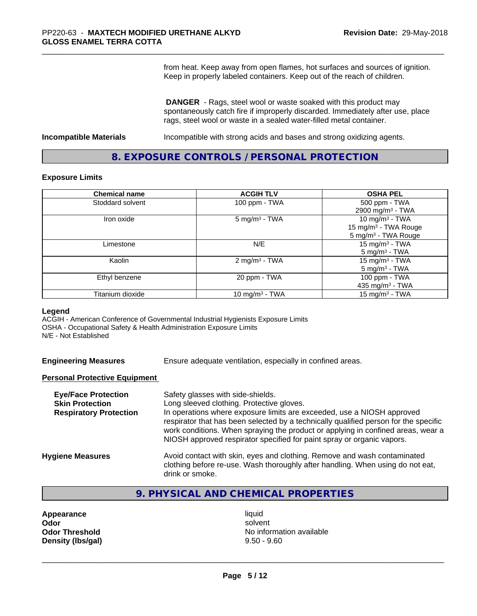from heat. Keep away from open flames, hot surfaces and sources of ignition. Keep in properly labeled containers. Keep out of the reach of children.

 **DANGER** - Rags, steel wool or waste soaked with this product may spontaneously catch fire if improperly discarded. Immediately after use, place rags, steel wool or waste in a sealed water-filled metal container.

**Incompatible Materials Incompatible with strong acids and bases and strong oxidizing agents.** 

# **8. EXPOSURE CONTROLS / PERSONAL PROTECTION**

#### **Exposure Limits**

| <b>Chemical name</b> | <b>ACGIH TLV</b>          | <b>OSHA PEL</b>                  |
|----------------------|---------------------------|----------------------------------|
| Stoddard solvent     | 100 ppm - TWA             | 500 ppm - TWA                    |
|                      |                           | 2900 mg/m <sup>3</sup> - TWA     |
| Iron oxide           | $5 \text{ mg/m}^3$ - TWA  | 10 mg/m $3$ - TWA                |
|                      |                           | 15 mg/m <sup>3</sup> - TWA Rouge |
|                      |                           | 5 mg/m <sup>3</sup> - TWA Rouge  |
| Limestone            | N/E                       | 15 mg/m <sup>3</sup> - TWA       |
|                      |                           | $5 \text{ mg/m}^3$ - TWA         |
| Kaolin               | 2 mg/m <sup>3</sup> - TWA | 15 mg/m $3$ - TWA                |
|                      |                           | $5 \text{ mg/m}^3$ - TWA         |
| Ethyl benzene        | 20 ppm - TWA              | 100 ppm - TWA                    |
|                      |                           | 435 mg/m <sup>3</sup> - TWA      |
| Titanium dioxide     | 10 mg/m $3$ - TWA         | 15 mg/m <sup>3</sup> - TWA       |

#### **Legend**

ACGIH - American Conference of Governmental Industrial Hygienists Exposure Limits OSHA - Occupational Safety & Health Administration Exposure Limits N/E - Not Established

**Engineering Measures** Ensure adequate ventilation, especially in confined areas.

## **Personal Protective Equipment**

| Safety glasses with side-shields.<br>Long sleeved clothing. Protective gloves.<br>In operations where exposure limits are exceeded, use a NIOSH approved<br>respirator that has been selected by a technically qualified person for the specific<br>work conditions. When spraying the product or applying in confined areas, wear a<br>NIOSH approved respirator specified for paint spray or organic vapors. |
|----------------------------------------------------------------------------------------------------------------------------------------------------------------------------------------------------------------------------------------------------------------------------------------------------------------------------------------------------------------------------------------------------------------|
| Avoid contact with skin, eyes and clothing. Remove and wash contaminated<br>clothing before re-use. Wash thoroughly after handling. When using do not eat,<br>drink or smoke.                                                                                                                                                                                                                                  |
|                                                                                                                                                                                                                                                                                                                                                                                                                |

# **9. PHYSICAL AND CHEMICAL PROPERTIES**

| Appearance            |  |  |
|-----------------------|--|--|
| Odor                  |  |  |
| <b>Odor Threshold</b> |  |  |
| Density (Ibs/gal)     |  |  |

**Appearance** and the contract of the contract of the contract of the contract of the contract of the contract of the contract of the contract of the contract of the contract of the contract of the contract of the contract **Odor** solvent **No information available Density (lbs/gal)** 9.50 - 9.60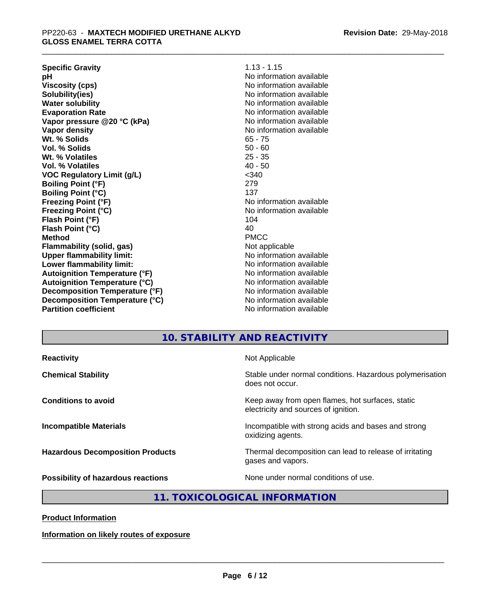| <b>Specific Gravity</b>              | $1.13 - 1.15$            |
|--------------------------------------|--------------------------|
| рH                                   | No information available |
| <b>Viscosity (cps)</b>               | No information available |
| Solubility(ies)                      | No information available |
| <b>Water solubility</b>              | No information available |
| <b>Evaporation Rate</b>              | No information available |
| Vapor pressure @20 °C (kPa)          | No information available |
| Vapor density                        | No information available |
| Wt. % Solids                         | $65 - 75$                |
| Vol. % Solids                        | $50 - 60$                |
| Wt. % Volatiles                      | $25 - 35$                |
| Vol. % Volatiles                     | $40 - 50$                |
| <b>VOC Regulatory Limit (g/L)</b>    | $340$                    |
| <b>Boiling Point (°F)</b>            | 279                      |
| <b>Boiling Point (°C)</b>            | 137                      |
| <b>Freezing Point (°F)</b>           | No information available |
| <b>Freezing Point (°C)</b>           | No information available |
| Flash Point (°F)                     | 104                      |
| Flash Point (°C)                     | 40                       |
| <b>Method</b>                        | <b>PMCC</b>              |
| <b>Flammability (solid, gas)</b>     | Not applicable           |
| <b>Upper flammability limit:</b>     | No information available |
| Lower flammability limit:            | No information available |
| <b>Autoignition Temperature (°F)</b> | No information available |
| <b>Autoignition Temperature (°C)</b> | No information available |
| Decomposition Temperature (°F)       | No information available |
| Decomposition Temperature (°C)       | No information available |
| <b>Partition coefficient</b>         | No information available |

# **10. STABILITY AND REACTIVITY**

**Reactivity Not Applicable** 

**Chemical Stability Stability** Stable under normal conditions. Hazardous polymerisation does not occur.

**Conditions to avoid EXECUTE: EXECUTE: Keep away from open flames, hot surfaces, static** electricity and sources of ignition.

**Incompatible Materials Incompatible with strong acids and bases and strong** oxidizing agents.

**Hazardous Decomposition Products** Thermal decomposition can lead to release of irritating gases and vapors.

**Possibility of hazardous reactions** None under normal conditions of use.

# **11. TOXICOLOGICAL INFORMATION**

**Product Information**

**Information on likely routes of exposure**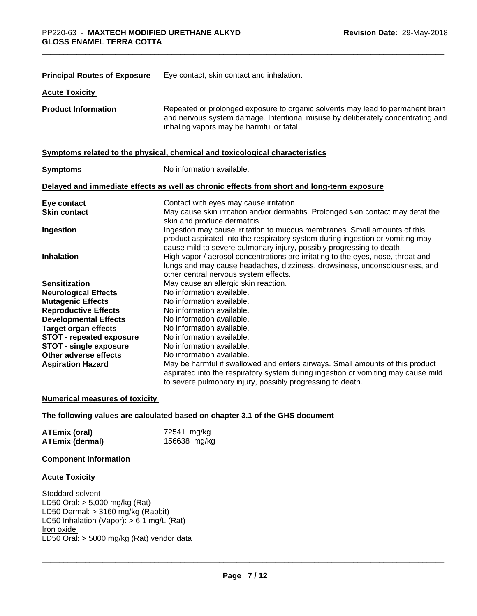| <b>Principal Routes of Exposure</b> | Eye contact, skin contact and inhalation.                                                                                                                                                                                            |
|-------------------------------------|--------------------------------------------------------------------------------------------------------------------------------------------------------------------------------------------------------------------------------------|
| <b>Acute Toxicity</b>               |                                                                                                                                                                                                                                      |
| <b>Product Information</b>          | Repeated or prolonged exposure to organic solvents may lead to permanent brain<br>and nervous system damage. Intentional misuse by deliberately concentrating and<br>inhaling vapors may be harmful or fatal.                        |
|                                     | Symptoms related to the physical, chemical and toxicological characteristics                                                                                                                                                         |
| <b>Symptoms</b>                     | No information available.                                                                                                                                                                                                            |
|                                     | Delayed and immediate effects as well as chronic effects from short and long-term exposure                                                                                                                                           |
| Eye contact                         | Contact with eyes may cause irritation.                                                                                                                                                                                              |
| <b>Skin contact</b>                 | May cause skin irritation and/or dermatitis. Prolonged skin contact may defat the<br>skin and produce dermatitis.                                                                                                                    |
| Ingestion                           | Ingestion may cause irritation to mucous membranes. Small amounts of this<br>product aspirated into the respiratory system during ingestion or vomiting may<br>cause mild to severe pulmonary injury, possibly progressing to death. |
| <b>Inhalation</b>                   | High vapor / aerosol concentrations are irritating to the eyes, nose, throat and<br>lungs and may cause headaches, dizziness, drowsiness, unconsciousness, and<br>other central nervous system effects.                              |
| <b>Sensitization</b>                | May cause an allergic skin reaction.                                                                                                                                                                                                 |
| <b>Neurological Effects</b>         | No information available.                                                                                                                                                                                                            |
| <b>Mutagenic Effects</b>            | No information available.                                                                                                                                                                                                            |
| <b>Reproductive Effects</b>         | No information available.                                                                                                                                                                                                            |
| <b>Developmental Effects</b>        | No information available.                                                                                                                                                                                                            |
| <b>Target organ effects</b>         | No information available.                                                                                                                                                                                                            |
| <b>STOT - repeated exposure</b>     | No information available.                                                                                                                                                                                                            |
| <b>STOT - single exposure</b>       | No information available.                                                                                                                                                                                                            |
| Other adverse effects               | No information available.                                                                                                                                                                                                            |
| <b>Aspiration Hazard</b>            | May be harmful if swallowed and enters airways. Small amounts of this product<br>aspirated into the respiratory system during ingestion or vomiting may cause mild<br>to severe pulmonary injury, possibly progressing to death.     |

#### **Numerical measures of toxicity**

**The following values are calculated based on chapter 3.1 of the GHS document**

| ATEmix (oral)   | 72541 mg/kg  |
|-----------------|--------------|
| ATEmix (dermal) | 156638 mg/kg |

## **Component Information**

#### **Acute Toxicity**

Stoddard solvent LD50 Oral:  $> 5,000$  mg/kg (Rat) LD50 Dermal: > 3160 mg/kg (Rabbit) LC50 Inhalation (Vapor): > 6.1 mg/L (Rat) Iron oxide \_\_\_\_\_\_\_\_\_\_\_\_\_\_\_\_\_\_\_\_\_\_\_\_\_\_\_\_\_\_\_\_\_\_\_\_\_\_\_\_\_\_\_\_\_\_\_\_\_\_\_\_\_\_\_\_\_\_\_\_\_\_\_\_\_\_\_\_\_\_\_\_\_\_\_\_\_\_\_\_\_\_\_\_\_\_\_\_\_\_\_\_\_ LD50 Oral: > 5000 mg/kg (Rat) vendor data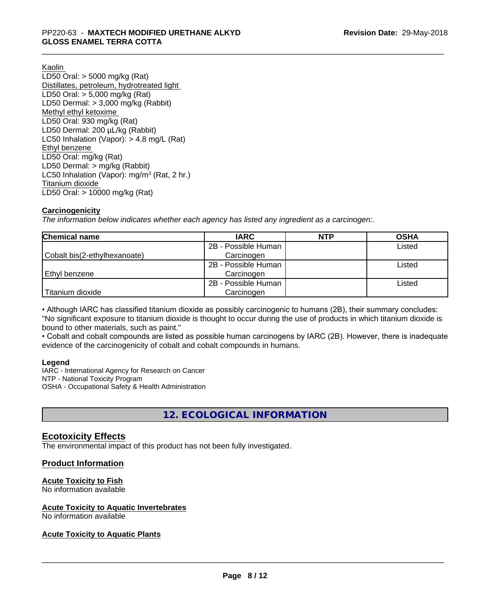Kaolin LD50 Oral: > 5000 mg/kg (Rat) Distillates, petroleum, hydrotreated light LD50 Oral: > 5,000 mg/kg (Rat) LD50 Dermal: > 3,000 mg/kg (Rabbit) Methyl ethyl ketoxime LD50 Oral: 930 mg/kg (Rat) LD50 Dermal: 200 µL/kg (Rabbit) LC50 Inhalation (Vapor): > 4.8 mg/L (Rat) Ethyl benzene LD50 Oral: mg/kg (Rat) LD50 Dermal: > mg/kg (Rabbit) LC50 Inhalation (Vapor): mg/m<sup>3</sup> (Rat, 2 hr.) Titanium dioxide LD50 Oral: > 10000 mg/kg (Rat)

## **Carcinogenicity**

*The information below indicateswhether each agency has listed any ingredient as a carcinogen:.*

| <b>Chemical name</b>         | <b>IARC</b>         | <b>NTP</b> | <b>OSHA</b> |
|------------------------------|---------------------|------------|-------------|
|                              | 2B - Possible Human |            | Listed      |
| Cobalt bis(2-ethylhexanoate) | Carcinogen          |            |             |
|                              | 2B - Possible Human |            | Listed      |
| Ethyl benzene                | Carcinogen          |            |             |
|                              | 2B - Possible Human |            | Listed      |
| Titanium dioxide             | Carcinogen          |            |             |

• Although IARC has classified titanium dioxide as possibly carcinogenic to humans (2B), their summary concludes: "No significant exposure to titanium dioxide is thought to occur during the use of products in which titanium dioxide is bound to other materials, such as paint."

• Cobalt and cobalt compounds are listed as possible human carcinogens by IARC (2B). However, there is inadequate evidence of the carcinogenicity of cobalt and cobalt compounds in humans.

#### **Legend**

IARC - International Agency for Research on Cancer NTP - National Toxicity Program OSHA - Occupational Safety & Health Administration

# **12. ECOLOGICAL INFORMATION**

# **Ecotoxicity Effects**

The environmental impact of this product has not been fully investigated.

# **Product Information**

#### **Acute Toxicity to Fish**

No information available

#### **Acute Toxicity to Aquatic Invertebrates**

No information available

# **Acute Toxicity to Aquatic Plants**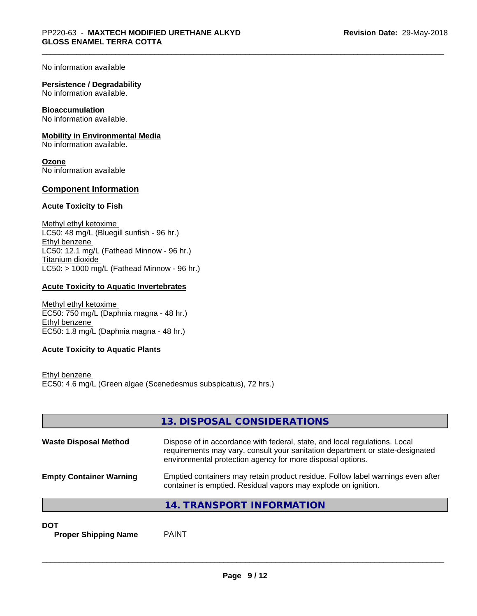No information available

#### **Persistence / Degradability**

No information available.

#### **Bioaccumulation**

No information available.

#### **Mobility in Environmental Media**

No information available.

**Ozone** No information available

### **Component Information**

## **Acute Toxicity to Fish**

Methyl ethyl ketoxime LC50: 48 mg/L (Bluegill sunfish - 96 hr.) Ethyl benzene LC50: 12.1 mg/L (Fathead Minnow - 96 hr.) Titanium dioxide  $LC50:$  > 1000 mg/L (Fathead Minnow - 96 hr.)

## **Acute Toxicity to Aquatic Invertebrates**

Methyl ethyl ketoxime EC50: 750 mg/L (Daphnia magna - 48 hr.) Ethyl benzene EC50: 1.8 mg/L (Daphnia magna - 48 hr.)

#### **Acute Toxicity to Aquatic Plants**

Ethyl benzene EC50: 4.6 mg/L (Green algae (Scenedesmus subspicatus), 72 hrs.)

|                                | 13. DISPOSAL CONSIDERATIONS                                                                                                                                                                                               |
|--------------------------------|---------------------------------------------------------------------------------------------------------------------------------------------------------------------------------------------------------------------------|
| <b>Waste Disposal Method</b>   | Dispose of in accordance with federal, state, and local regulations. Local<br>requirements may vary, consult your sanitation department or state-designated<br>environmental protection agency for more disposal options. |
| <b>Empty Container Warning</b> | Emptied containers may retain product residue. Follow label warnings even after<br>container is emptied. Residual vapors may explode on ignition.                                                                         |
|                                | 14. TRANSPORT INFORMATION                                                                                                                                                                                                 |

**DOT**

**Proper Shipping Name** PAINT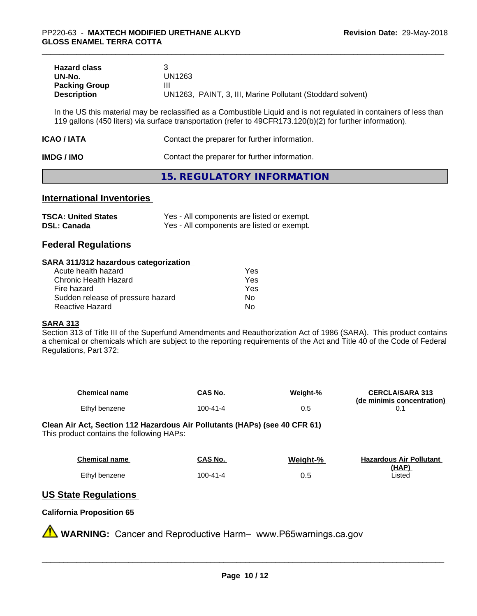| <b>Hazard class</b>  |                                                            |
|----------------------|------------------------------------------------------------|
| UN-No.               | UN1263                                                     |
| <b>Packing Group</b> | Ш                                                          |
| <b>Description</b>   | UN1263, PAINT, 3, III, Marine Pollutant (Stoddard solvent) |

In the US this material may be reclassified as a Combustible Liquid and is not regulated in containers of less than 119 gallons (450 liters) via surface transportation (refer to 49CFR173.120(b)(2) for further information).

| ICAO / IATA | Contact the preparer for further information. |
|-------------|-----------------------------------------------|
| IMDG / IMO  | Contact the preparer for further information. |

# **15. REGULATORY INFORMATION**

# **International Inventories**

| <b>TSCA: United States</b> | Yes - All components are listed or exempt. |
|----------------------------|--------------------------------------------|
| <b>DSL: Canada</b>         | Yes - All components are listed or exempt. |

# **Federal Regulations**

#### **SARA 311/312 hazardous categorization**

| Acute health hazard               | Yes |  |
|-----------------------------------|-----|--|
| Chronic Health Hazard             | Yes |  |
| Fire hazard                       | Yes |  |
| Sudden release of pressure hazard | Nο  |  |
| Reactive Hazard                   | Nο  |  |

#### **SARA 313**

Section 313 of Title III of the Superfund Amendments and Reauthorization Act of 1986 (SARA). This product contains a chemical or chemicals which are subject to the reporting requirements of the Act and Title 40 of the Code of Federal Regulations, Part 372:

| <b>Chemical name</b> | CAS No.  | Weight-% | <b>CERCLA/SARA 313</b><br>(de minimis concentration) |
|----------------------|----------|----------|------------------------------------------------------|
| Ethyl benzene        | 100-41-4 | U.J      |                                                      |

**Clean Air Act,Section 112 Hazardous Air Pollutants (HAPs) (see 40 CFR 61)** This product contains the following HAPs:

| <b>Chemical name</b> | CAS No.  | Weight-% | <b>Hazardous Air Pollutant</b> |
|----------------------|----------|----------|--------------------------------|
|                      |          |          | (HAP)                          |
| Ethyl benzene        | 100-41-4 | 0.5      | Listed                         |

# **US State Regulations**

#### **California Proposition 65**

**AVIMARNING:** Cancer and Reproductive Harm– www.P65warnings.ca.gov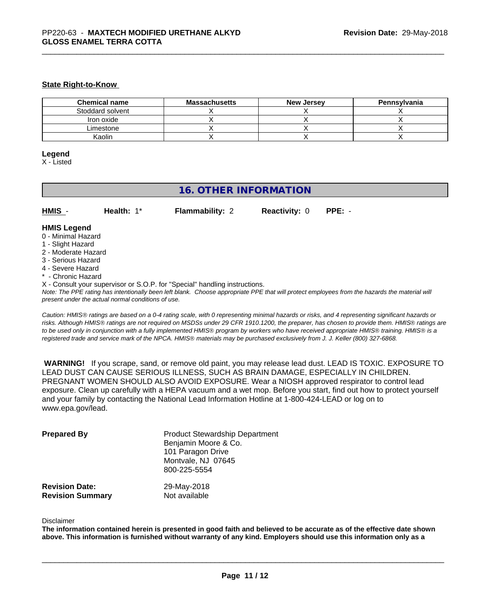#### **State Right-to-Know**

| <b>Chemical name</b> | <b>Massachusetts</b> | <b>New Jersey</b> | Pennsylvania |
|----------------------|----------------------|-------------------|--------------|
| Stoddard solvent     |                      |                   |              |
| Iron oxide           |                      |                   |              |
| Limestone            |                      |                   |              |
| Kaolin               |                      |                   |              |

#### **Legend**

X - Listed

# **16. OTHER INFORMATION**

| HMIS | Health: $1^*$ | <b>Flammability: 2</b> | <b>Reactivity: 0 PPE: -</b> |  |
|------|---------------|------------------------|-----------------------------|--|
|------|---------------|------------------------|-----------------------------|--|

# **HMIS Legend**

- 0 Minimal Hazard
- 1 Slight Hazard
- 2 Moderate Hazard
- 3 Serious Hazard
- 4 Severe Hazard
- \* Chronic Hazard
- X Consult your supervisor or S.O.P. for "Special" handling instructions.

*Note: The PPE rating has intentionally been left blank. Choose appropriate PPE that will protect employees from the hazards the material will present under the actual normal conditions of use.*

*Caution: HMISÒ ratings are based on a 0-4 rating scale, with 0 representing minimal hazards or risks, and 4 representing significant hazards or risks. Although HMISÒ ratings are not required on MSDSs under 29 CFR 1910.1200, the preparer, has chosen to provide them. HMISÒ ratings are to be used only in conjunction with a fully implemented HMISÒ program by workers who have received appropriate HMISÒ training. HMISÒ is a registered trade and service mark of the NPCA. HMISÒ materials may be purchased exclusively from J. J. Keller (800) 327-6868.*

 **WARNING!** If you scrape, sand, or remove old paint, you may release lead dust. LEAD IS TOXIC. EXPOSURE TO LEAD DUST CAN CAUSE SERIOUS ILLNESS, SUCH AS BRAIN DAMAGE, ESPECIALLY IN CHILDREN. PREGNANT WOMEN SHOULD ALSO AVOID EXPOSURE. Wear a NIOSH approved respirator to control lead exposure. Clean up carefully with a HEPA vacuum and a wet mop. Before you start, find out how to protect yourself and your family by contacting the National Lead Information Hotline at 1-800-424-LEAD or log on to www.epa.gov/lead.

| <b>Prepared By</b>      | <b>Product Stewardship Department</b><br>Benjamin Moore & Co.<br>101 Paragon Drive<br>Montvale, NJ 07645<br>800-225-5554 |
|-------------------------|--------------------------------------------------------------------------------------------------------------------------|
| <b>Revision Date:</b>   | 29-May-2018                                                                                                              |
| <b>Revision Summary</b> | Not available                                                                                                            |

#### Disclaimer

The information contained herein is presented in good faith and believed to be accurate as of the effective date shown above. This information is furnished without warranty of any kind. Employers should use this information only as a